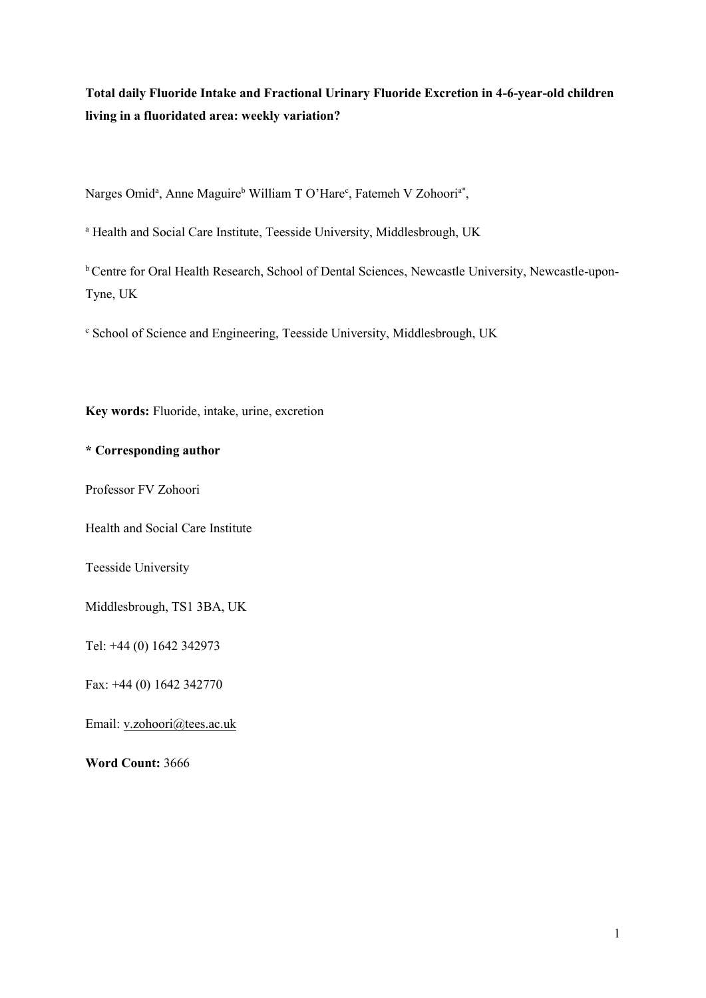**Total daily Fluoride Intake and Fractional Urinary Fluoride Excretion in 4-6-year-old children living in a fluoridated area: weekly variation?** 

Narges Omid<sup>a</sup>, Anne Maguire<sup>b</sup> William T O'Hare<sup>c</sup>, Fatemeh V Zohoori<sup>a\*</sup>,

<sup>a</sup> Health and Social Care Institute, Teesside University, Middlesbrough, UK

**b Centre for Oral Health Research, School of Dental Sciences, Newcastle University, Newcastle-upon-**Tyne, UK

<sup>c</sup> School of Science and Engineering, Teesside University, Middlesbrough, UK

**Key words:** Fluoride, intake, urine, excretion

## **\* Corresponding author**

Professor FV Zohoori

Health and Social Care Institute

Teesside University

Middlesbrough, TS1 3BA, UK

Tel: +44 (0) 1642 342973

Fax: +44 (0) 1642 342770

Email: [v.zohoori@tees.ac.uk](mailto:v.zohoori@tees.ac.uk)

**Word Count:** 3666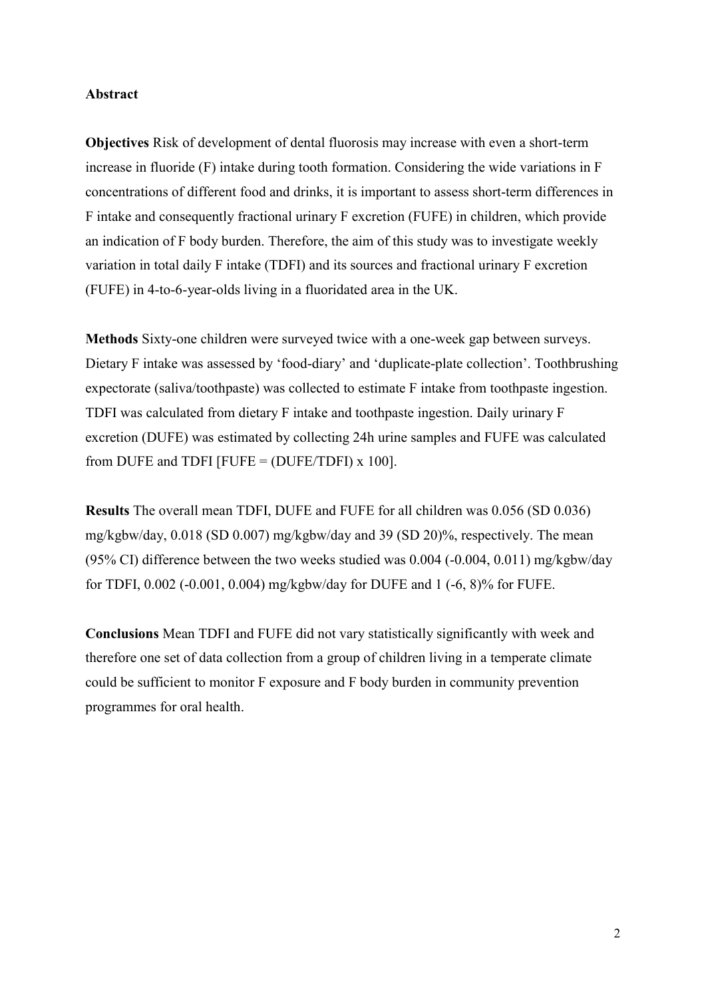#### **Abstract**

**Objectives** Risk of development of dental fluorosis may increase with even a short-term increase in fluoride (F) intake during tooth formation. Considering the wide variations in F concentrations of different food and drinks, it is important to assess short-term differences in F intake and consequently fractional urinary F excretion (FUFE) in children, which provide an indication of F body burden. Therefore, the aim of this study was to investigate weekly variation in total daily F intake (TDFI) and its sources and fractional urinary F excretion (FUFE) in 4-to-6-year-olds living in a fluoridated area in the UK.

**Methods** Sixty-one children were surveyed twice with a one-week gap between surveys. Dietary F intake was assessed by 'food-diary' and 'duplicate-plate collection'. Toothbrushing expectorate (saliva/toothpaste) was collected to estimate F intake from toothpaste ingestion. TDFI was calculated from dietary F intake and toothpaste ingestion. Daily urinary F excretion (DUFE) was estimated by collecting 24h urine samples and FUFE was calculated from DUFE and TDFI [FUFE  $=$  (DUFE/TDFI) x 100].

**Results** The overall mean TDFI, DUFE and FUFE for all children was 0.056 (SD 0.036) mg/kgbw/day, 0.018 (SD 0.007) mg/kgbw/day and 39 (SD 20)%, respectively. The mean (95% CI) difference between the two weeks studied was 0.004 (-0.004, 0.011) mg/kgbw/day for TDFI, 0.002 (-0.001, 0.004) mg/kgbw/day for DUFE and 1 (-6, 8)% for FUFE.

**Conclusions** Mean TDFI and FUFE did not vary statistically significantly with week and therefore one set of data collection from a group of children living in a temperate climate could be sufficient to monitor F exposure and F body burden in community prevention programmes for oral health.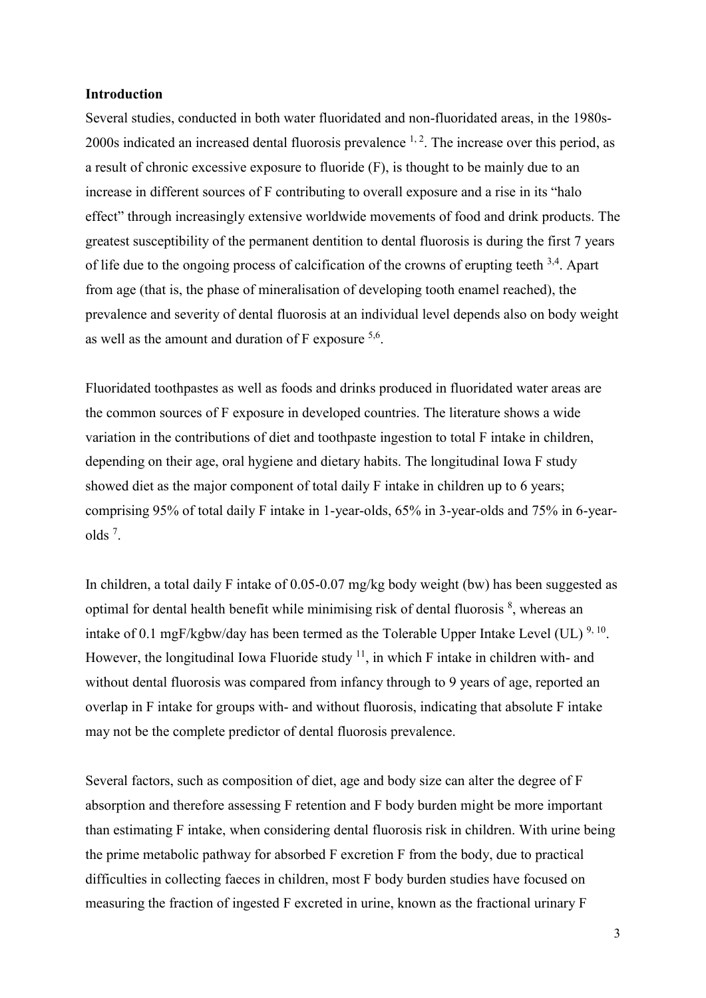### **Introduction**

Several studies, conducted in both water fluoridated and non-fluoridated areas, in the 1980s-2000s indicated an increased dental fluorosis prevalence  $1, 2$ . The increase over this period, as a result of chronic excessive exposure to fluoride (F), is thought to be mainly due to an increase in different sources of F contributing to overall exposure and a rise in its "halo effect" through increasingly extensive worldwide movements of food and drink products. The greatest susceptibility of the permanent dentition to dental fluorosis is during the first 7 years of life due to the ongoing process of calcification of the crowns of erupting teeth  $3,4$ . Apart from age (that is, the phase of mineralisation of developing tooth enamel reached), the prevalence and severity of dental fluorosis at an individual level depends also on body weight as well as the amount and duration of  $F$  exposure  $5.6$ .

Fluoridated toothpastes as well as foods and drinks produced in fluoridated water areas are the common sources of F exposure in developed countries. The literature shows a wide variation in the contributions of diet and toothpaste ingestion to total F intake in children, depending on their age, oral hygiene and dietary habits. The longitudinal Iowa F study showed diet as the major component of total daily F intake in children up to 6 years; comprising 95% of total daily F intake in 1-year-olds, 65% in 3-year-olds and 75% in 6-yearolds <sup>7</sup> .

In children, a total daily F intake of 0.05-0.07 mg/kg body weight (bw) has been suggested as optimal for dental health benefit while minimising risk of dental fluorosis<sup>8</sup>, whereas an intake of 0.1 mgF/kgbw/day has been termed as the Tolerable Upper Intake Level (UL)  $9, 10$ . However, the longitudinal Iowa Fluoride study  $11$ , in which F intake in children with- and without dental fluorosis was compared from infancy through to 9 years of age, reported an overlap in F intake for groups with- and without fluorosis, indicating that absolute F intake may not be the complete predictor of dental fluorosis prevalence.

Several factors, such as composition of diet, age and body size can alter the degree of F absorption and therefore assessing F retention and F body burden might be more important than estimating F intake, when considering dental fluorosis risk in children. With urine being the prime metabolic pathway for absorbed F excretion F from the body, due to practical difficulties in collecting faeces in children, most F body burden studies have focused on measuring the fraction of ingested F excreted in urine, known as the fractional urinary F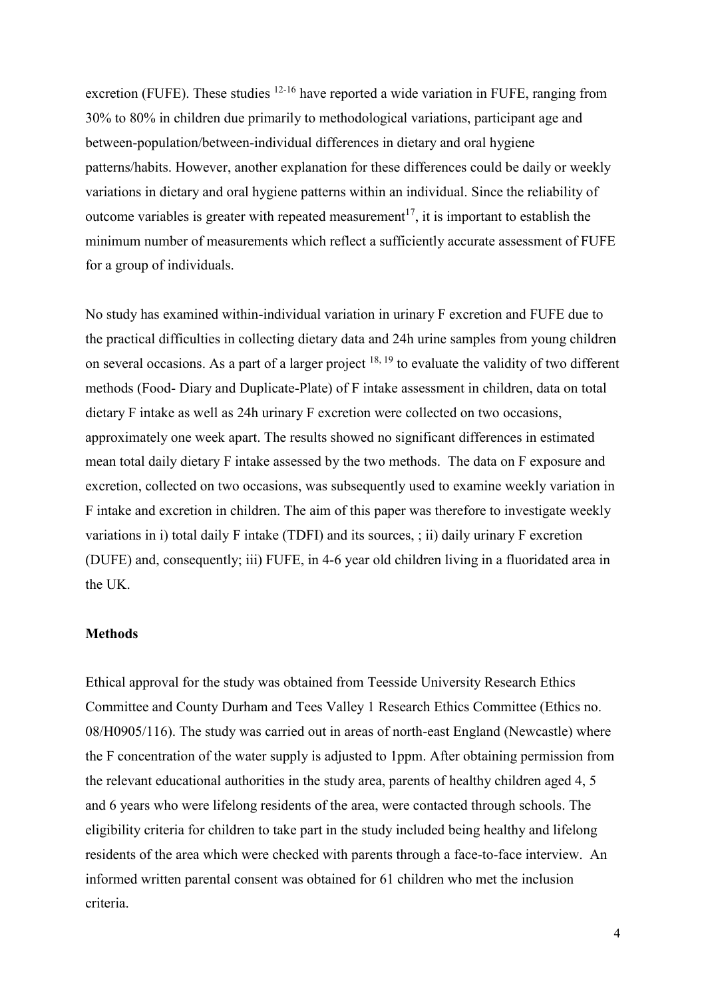excretion (FUFE). These studies  $12-16$  have reported a wide variation in FUFE, ranging from 30% to 80% in children due primarily to methodological variations, participant age and between-population/between-individual differences in dietary and oral hygiene patterns/habits. However, another explanation for these differences could be daily or weekly variations in dietary and oral hygiene patterns within an individual. Since the reliability of outcome variables is greater with repeated measurement<sup>17</sup>, it is important to establish the minimum number of measurements which reflect a sufficiently accurate assessment of FUFE for a group of individuals.

No study has examined within-individual variation in urinary F excretion and FUFE due to the practical difficulties in collecting dietary data and 24h urine samples from young children on several occasions. As a part of a larger project  $18, 19$  to evaluate the validity of two different methods (Food- Diary and Duplicate-Plate) of F intake assessment in children, data on total dietary F intake as well as 24h urinary F excretion were collected on two occasions, approximately one week apart. The results showed no significant differences in estimated mean total daily dietary F intake assessed by the two methods. The data on F exposure and excretion, collected on two occasions, was subsequently used to examine weekly variation in F intake and excretion in children. The aim of this paper was therefore to investigate weekly variations in i) total daily F intake (TDFI) and its sources, ; ii) daily urinary F excretion (DUFE) and, consequently; iii) FUFE, in 4-6 year old children living in a fluoridated area in the UK.

## **Methods**

Ethical approval for the study was obtained from Teesside University Research Ethics Committee and County Durham and Tees Valley 1 Research Ethics Committee (Ethics no. 08/H0905/116). The study was carried out in areas of north-east England (Newcastle) where the F concentration of the water supply is adjusted to 1ppm. After obtaining permission from the relevant educational authorities in the study area, parents of healthy children aged 4, 5 and 6 years who were lifelong residents of the area, were contacted through schools. The eligibility criteria for children to take part in the study included being healthy and lifelong residents of the area which were checked with parents through a face-to-face interview. An informed written parental consent was obtained for 61 children who met the inclusion criteria.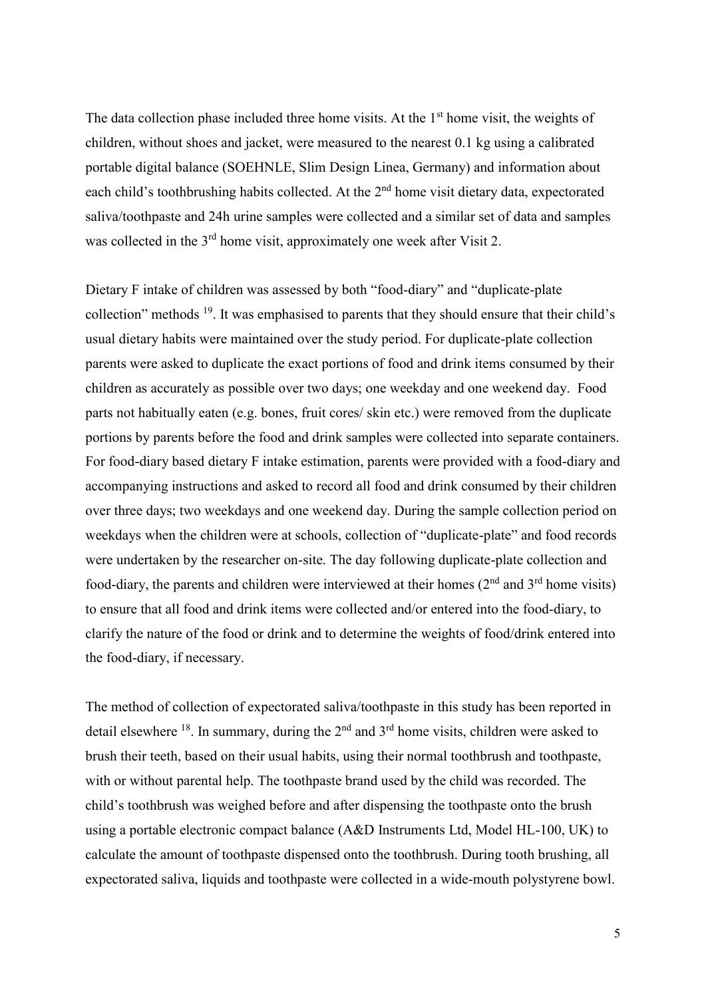The data collection phase included three home visits. At the 1<sup>st</sup> home visit, the weights of children, without shoes and jacket, were measured to the nearest 0.1 kg using a calibrated portable digital balance (SOEHNLE, Slim Design Linea, Germany) and information about each child's toothbrushing habits collected. At the 2<sup>nd</sup> home visit dietary data, expectorated saliva/toothpaste and 24h urine samples were collected and a similar set of data and samples was collected in the 3<sup>rd</sup> home visit, approximately one week after Visit 2.

Dietary F intake of children was assessed by both "food-diary" and "duplicate-plate collection" methods <sup>19</sup>. It was emphasised to parents that they should ensure that their child's usual dietary habits were maintained over the study period. For duplicate-plate collection parents were asked to duplicate the exact portions of food and drink items consumed by their children as accurately as possible over two days; one weekday and one weekend day. Food parts not habitually eaten (e.g. bones, fruit cores/ skin etc.) were removed from the duplicate portions by parents before the food and drink samples were collected into separate containers. For food-diary based dietary F intake estimation, parents were provided with a food-diary and accompanying instructions and asked to record all food and drink consumed by their children over three days; two weekdays and one weekend day. During the sample collection period on weekdays when the children were at schools, collection of "duplicate-plate" and food records were undertaken by the researcher on-site. The day following duplicate-plate collection and food-diary, the parents and children were interviewed at their homes  $(2<sup>nd</sup>$  and  $3<sup>rd</sup>$  home visits) to ensure that all food and drink items were collected and/or entered into the food-diary, to clarify the nature of the food or drink and to determine the weights of food/drink entered into the food-diary, if necessary.

The method of collection of expectorated saliva/toothpaste in this study has been reported in detail elsewhere  $18$ . In summary, during the  $2<sup>nd</sup>$  and  $3<sup>rd</sup>$  home visits, children were asked to brush their teeth, based on their usual habits, using their normal toothbrush and toothpaste, with or without parental help. The toothpaste brand used by the child was recorded. The child's toothbrush was weighed before and after dispensing the toothpaste onto the brush using a portable electronic compact balance (A&D Instruments Ltd, Model HL-100, UK) to calculate the amount of toothpaste dispensed onto the toothbrush. During tooth brushing, all expectorated saliva, liquids and toothpaste were collected in a wide-mouth polystyrene bowl.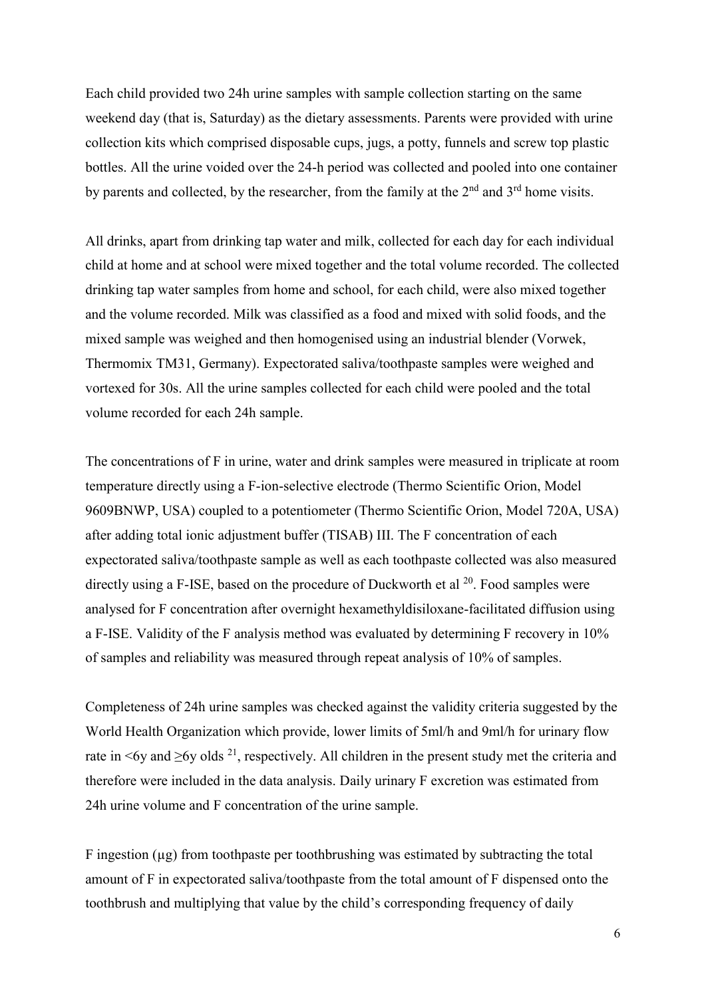Each child provided two 24h urine samples with sample collection starting on the same weekend day (that is, Saturday) as the dietary assessments. Parents were provided with urine collection kits which comprised disposable cups, jugs, a potty, funnels and screw top plastic bottles. All the urine voided over the 24-h period was collected and pooled into one container by parents and collected, by the researcher, from the family at the  $2<sup>nd</sup>$  and  $3<sup>rd</sup>$  home visits.

All drinks, apart from drinking tap water and milk, collected for each day for each individual child at home and at school were mixed together and the total volume recorded. The collected drinking tap water samples from home and school, for each child, were also mixed together and the volume recorded. Milk was classified as a food and mixed with solid foods, and the mixed sample was weighed and then homogenised using an industrial blender (Vorwek, Thermomix TM31, Germany). Expectorated saliva/toothpaste samples were weighed and vortexed for 30s. All the urine samples collected for each child were pooled and the total volume recorded for each 24h sample.

The concentrations of F in urine, water and drink samples were measured in triplicate at room temperature directly using a F-ion-selective electrode (Thermo Scientific Orion, Model 9609BNWP, USA) coupled to a potentiometer (Thermo Scientific Orion, Model 720A, USA) after adding total ionic adjustment buffer (TISAB) III. The F concentration of each expectorated saliva/toothpaste sample as well as each toothpaste collected was also measured directly using a F-ISE, based on the procedure of Duckworth et al  $^{20}$ . Food samples were analysed for F concentration after overnight hexamethyldisiloxane-facilitated diffusion using a F-ISE. Validity of the F analysis method was evaluated by determining F recovery in 10% of samples and reliability was measured through repeat analysis of 10% of samples.

Completeness of 24h urine samples was checked against the validity criteria suggested by the World Health Organization which provide, lower limits of 5ml/h and 9ml/h for urinary flow rate in  $\leq$  6y and  $\geq$  6y olds <sup>21</sup>, respectively. All children in the present study met the criteria and therefore were included in the data analysis. Daily urinary F excretion was estimated from 24h urine volume and F concentration of the urine sample.

 $F$  ingestion  $(\mu g)$  from toothpaste per toothbrushing was estimated by subtracting the total amount of F in expectorated saliva/toothpaste from the total amount of F dispensed onto the toothbrush and multiplying that value by the child's corresponding frequency of daily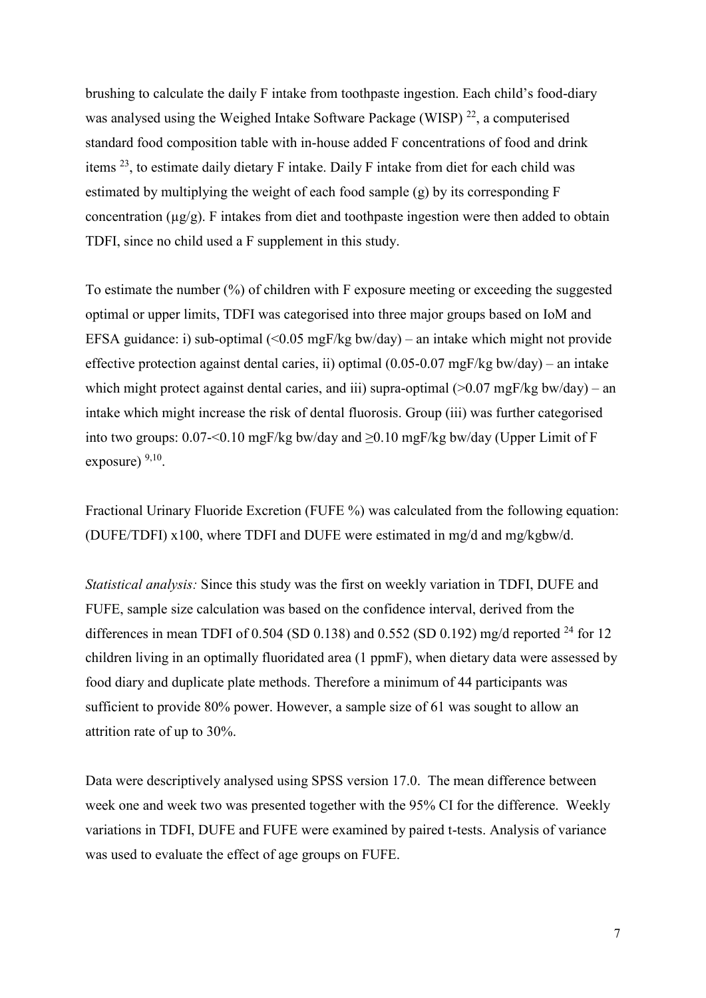brushing to calculate the daily F intake from toothpaste ingestion. Each child's food-diary was analysed using the Weighed Intake Software Package (WISP) $^{22}$ , a computerised standard food composition table with in-house added F concentrations of food and drink items <sup>23</sup>, to estimate daily dietary F intake. Daily F intake from diet for each child was estimated by multiplying the weight of each food sample (g) by its corresponding F concentration  $(\mu g/g)$ . F intakes from diet and toothpaste ingestion were then added to obtain TDFI, since no child used a F supplement in this study.

To estimate the number (%) of children with F exposure meeting or exceeding the suggested optimal or upper limits, TDFI was categorised into three major groups based on IoM and EFSA guidance: i) sub-optimal  $(< 0.05$  mgF/kg bw/day) – an intake which might not provide effective protection against dental caries, ii) optimal (0.05-0.07 mgF/kg bw/day) – an intake which might protect against dental caries, and iii) supra-optimal  $(>0.07 \text{ mgF/kg}$  bw/day) – an intake which might increase the risk of dental fluorosis. Group (iii) was further categorised into two groups: 0.07-<0.10 mgF/kg bw/day and ≥0.10 mgF/kg bw/day (Upper Limit of F exposure) <sup>9,10</sup>.

Fractional Urinary Fluoride Excretion (FUFE %) was calculated from the following equation: (DUFE/TDFI) x100, where TDFI and DUFE were estimated in mg/d and mg/kgbw/d.

*Statistical analysis:* Since this study was the first on weekly variation in TDFI, DUFE and FUFE, sample size calculation was based on the confidence interval, derived from the differences in mean TDFI of 0.504 (SD 0.138) and 0.552 (SD 0.192) mg/d reported <sup>24</sup> for 12 children living in an optimally fluoridated area (1 ppmF), when dietary data were assessed by food diary and duplicate plate methods. Therefore a minimum of 44 participants was sufficient to provide 80% power. However, a sample size of 61 was sought to allow an attrition rate of up to 30%.

Data were descriptively analysed using SPSS version 17.0. The mean difference between week one and week two was presented together with the 95% CI for the difference. Weekly variations in TDFI, DUFE and FUFE were examined by paired t-tests. Analysis of variance was used to evaluate the effect of age groups on FUFE.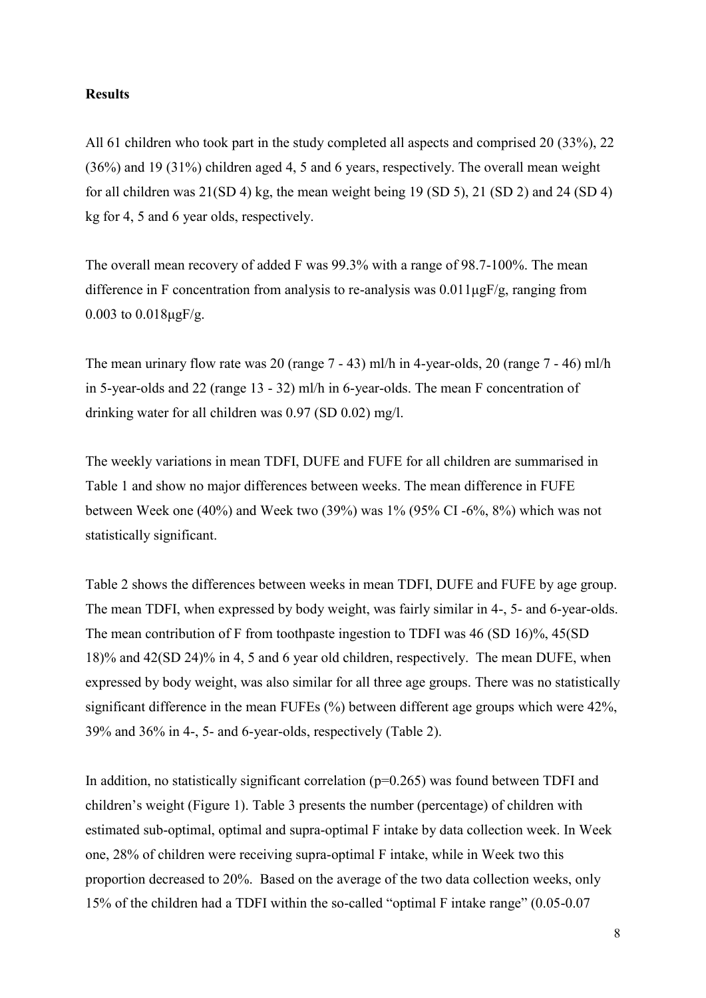#### **Results**

All 61 children who took part in the study completed all aspects and comprised 20 (33%), 22 (36%) and 19 (31%) children aged 4, 5 and 6 years, respectively. The overall mean weight for all children was 21(SD 4) kg, the mean weight being 19 (SD 5), 21 (SD 2) and 24 (SD 4) kg for 4, 5 and 6 year olds, respectively.

The overall mean recovery of added F was 99.3% with a range of 98.7-100%. The mean difference in F concentration from analysis to re-analysis was 0.011μgF/g, ranging from 0.003 to 0.018μgF/g.

The mean urinary flow rate was 20 (range 7 - 43) ml/h in 4-year-olds, 20 (range 7 - 46) ml/h in 5-year-olds and 22 (range 13 - 32) ml/h in 6-year-olds. The mean F concentration of drinking water for all children was 0.97 (SD 0.02) mg/l.

The weekly variations in mean TDFI, DUFE and FUFE for all children are summarised in Table 1 and show no major differences between weeks. The mean difference in FUFE between Week one (40%) and Week two (39%) was 1% (95% CI -6%, 8%) which was not statistically significant.

Table 2 shows the differences between weeks in mean TDFI, DUFE and FUFE by age group. The mean TDFI, when expressed by body weight, was fairly similar in 4-, 5- and 6-year-olds. The mean contribution of F from toothpaste ingestion to TDFI was 46 (SD 16)%, 45(SD 18)% and 42(SD 24)% in 4, 5 and 6 year old children, respectively. The mean DUFE, when expressed by body weight, was also similar for all three age groups. There was no statistically significant difference in the mean FUFEs (%) between different age groups which were 42%, 39% and 36% in 4-, 5- and 6-year-olds, respectively (Table 2).

In addition, no statistically significant correlation ( $p=0.265$ ) was found between TDFI and children's weight (Figure 1). Table 3 presents the number (percentage) of children with estimated sub-optimal, optimal and supra-optimal F intake by data collection week. In Week one, 28% of children were receiving supra-optimal F intake, while in Week two this proportion decreased to 20%. Based on the average of the two data collection weeks, only 15% of the children had a TDFI within the so-called "optimal F intake range" (0.05-0.07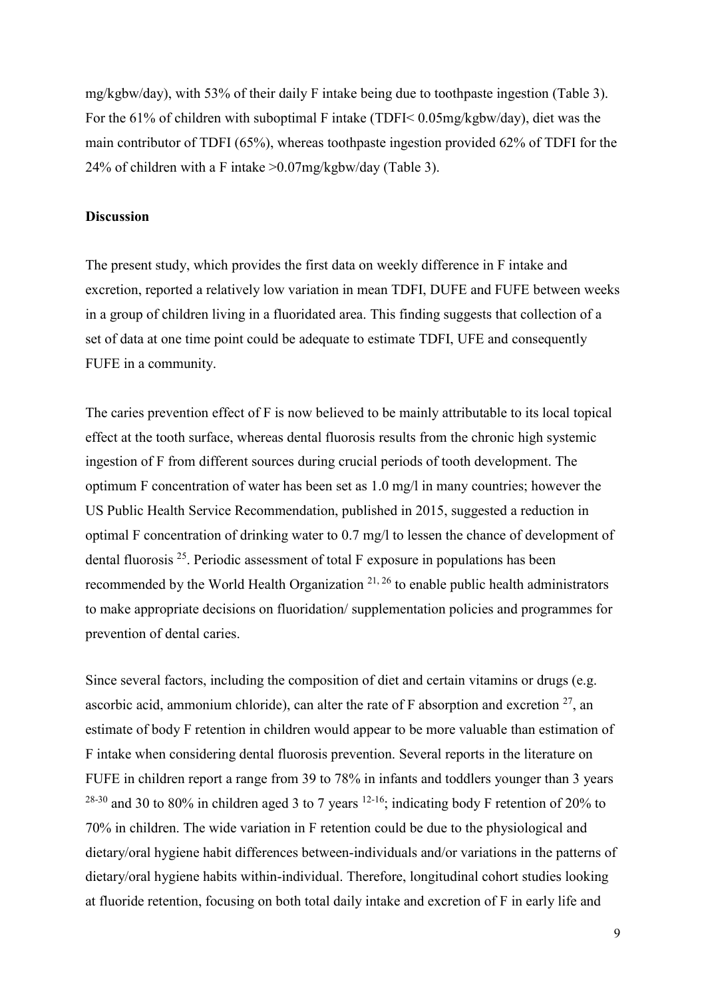mg/kgbw/day), with 53% of their daily F intake being due to toothpaste ingestion (Table 3). For the 61% of children with suboptimal F intake (TDFI< 0.05mg/kgbw/day), diet was the main contributor of TDFI (65%), whereas toothpaste ingestion provided 62% of TDFI for the 24% of children with a F intake >0.07mg/kgbw/day (Table 3).

### **Discussion**

The present study, which provides the first data on weekly difference in F intake and excretion, reported a relatively low variation in mean TDFI, DUFE and FUFE between weeks in a group of children living in a fluoridated area. This finding suggests that collection of a set of data at one time point could be adequate to estimate TDFI, UFE and consequently FUFE in a community.

The caries prevention effect of F is now believed to be mainly attributable to its local topical effect at the tooth surface, whereas dental fluorosis results from the chronic high systemic ingestion of F from different sources during crucial periods of tooth development. The optimum F concentration of water has been set as 1.0 mg/l in many countries; however the US Public Health Service Recommendation, published in 2015, suggested a reduction in optimal F concentration of drinking water to 0.7 mg/l to lessen the chance of development of dental fluorosis<sup>25</sup>. Periodic assessment of total F exposure in populations has been recommended by the World Health Organization  $2^{1, 26}$  to enable public health administrators to make appropriate decisions on fluoridation/ supplementation policies and programmes for prevention of dental caries.

Since several factors, including the composition of diet and certain vitamins or drugs (e.g. ascorbic acid, ammonium chloride), can alter the rate of  $F$  absorption and excretion  $27$ , an estimate of body F retention in children would appear to be more valuable than estimation of F intake when considering dental fluorosis prevention. Several reports in the literature on FUFE in children report a range from 39 to 78% in infants and toddlers younger than 3 years  $28-30$  and 30 to 80% in children aged 3 to 7 years  $12-16$ ; indicating body F retention of 20% to 70% in children. The wide variation in F retention could be due to the physiological and dietary/oral hygiene habit differences between-individuals and/or variations in the patterns of dietary/oral hygiene habits within-individual. Therefore, longitudinal cohort studies looking at fluoride retention, focusing on both total daily intake and excretion of F in early life and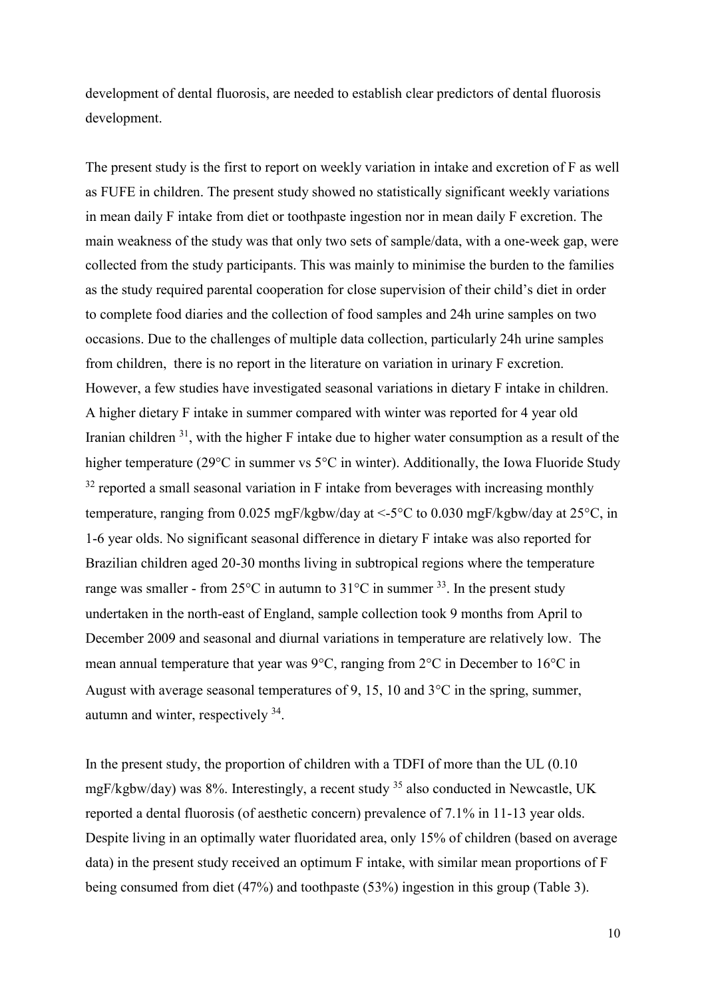development of dental fluorosis, are needed to establish clear predictors of dental fluorosis development.

The present study is the first to report on weekly variation in intake and excretion of F as well as FUFE in children. The present study showed no statistically significant weekly variations in mean daily F intake from diet or toothpaste ingestion nor in mean daily F excretion. The main weakness of the study was that only two sets of sample/data, with a one-week gap, were collected from the study participants. This was mainly to minimise the burden to the families as the study required parental cooperation for close supervision of their child's diet in order to complete food diaries and the collection of food samples and 24h urine samples on two occasions. Due to the challenges of multiple data collection, particularly 24h urine samples from children, there is no report in the literature on variation in urinary F excretion. However, a few studies have investigated seasonal variations in dietary F intake in children. A higher dietary F intake in summer compared with winter was reported for 4 year old Iranian children <sup>31</sup>, with the higher F intake due to higher water consumption as a result of the higher temperature (29 $\degree$ C in summer vs 5 $\degree$ C in winter). Additionally, the Iowa Fluoride Study  $32$  reported a small seasonal variation in F intake from beverages with increasing monthly temperature, ranging from 0.025 mgF/kgbw/day at  $\leq$ -5°C to 0.030 mgF/kgbw/day at 25°C, in 1-6 year olds. No significant seasonal difference in dietary F intake was also reported for Brazilian children aged 20-30 months living in subtropical regions where the temperature range was smaller - from  $25^{\circ}$ C in autumn to  $31^{\circ}$ C in summer <sup>33</sup>. In the present study undertaken in the north-east of England, sample collection took 9 months from April to December 2009 and seasonal and diurnal variations in temperature are relatively low. The mean annual temperature that year was  $9^{\circ}$ C, ranging from  $2^{\circ}$ C in December to 16 $^{\circ}$ C in August with average seasonal temperatures of 9, 15, 10 and  $3^{\circ}$ C in the spring, summer, autumn and winter, respectively <sup>34</sup>.

In the present study, the proportion of children with a TDFI of more than the UL (0.10 mgF/kgbw/day) was  $8\%$ . Interestingly, a recent study  $35$  also conducted in Newcastle, UK reported a dental fluorosis (of aesthetic concern) prevalence of 7.1% in 11-13 year olds. Despite living in an optimally water fluoridated area, only 15% of children (based on average data) in the present study received an optimum F intake, with similar mean proportions of F being consumed from diet (47%) and toothpaste (53%) ingestion in this group (Table 3).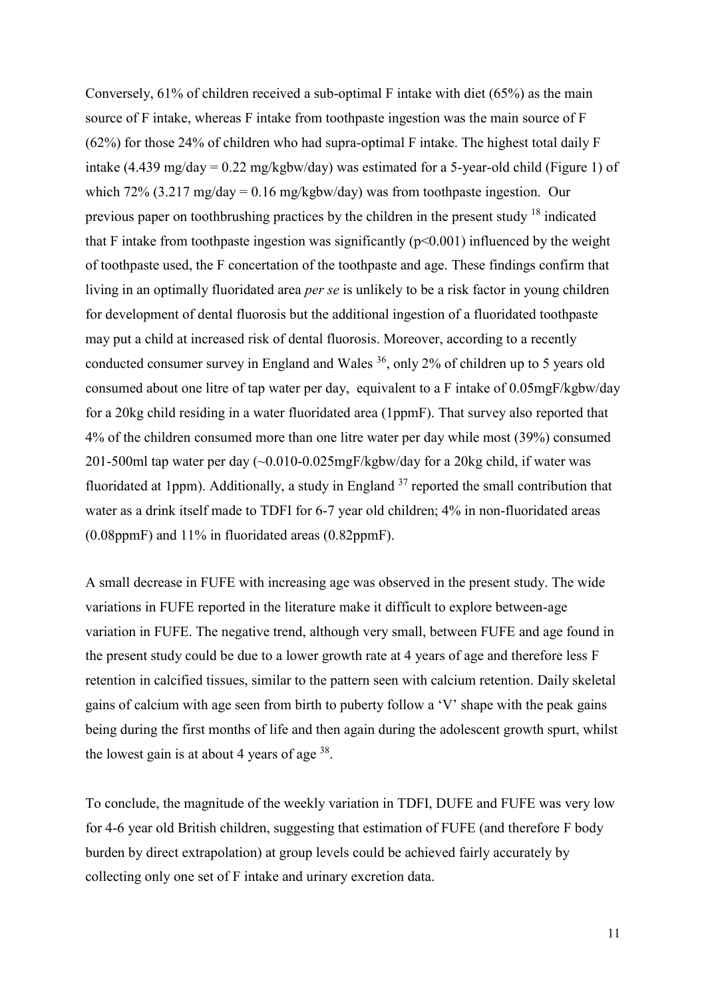Conversely, 61% of children received a sub-optimal F intake with diet (65%) as the main source of F intake, whereas F intake from toothpaste ingestion was the main source of F (62%) for those 24% of children who had supra-optimal F intake. The highest total daily F intake (4.439 mg/day = 0.22 mg/kgbw/day) was estimated for a 5-year-old child (Figure 1) of which  $72\%$  (3.217 mg/day = 0.16 mg/kgbw/day) was from toothpaste ingestion. Our previous paper on toothbrushing practices by the children in the present study <sup>18</sup> indicated that F intake from toothpaste ingestion was significantly  $(p<0.001)$  influenced by the weight of toothpaste used, the F concertation of the toothpaste and age. These findings confirm that living in an optimally fluoridated area *per se* is unlikely to be a risk factor in young children for development of dental fluorosis but the additional ingestion of a fluoridated toothpaste may put a child at increased risk of dental fluorosis. Moreover, according to a recently conducted consumer survey in England and Wales  $36$ , only  $2\%$  of children up to 5 years old consumed about one litre of tap water per day, equivalent to a F intake of 0.05mgF/kgbw/day for a 20kg child residing in a water fluoridated area (1ppmF). That survey also reported that 4% of the children consumed more than one litre water per day while most (39%) consumed 201-500ml tap water per day (~0.010-0.025mgF/kgbw/day for a 20kg child, if water was fluoridated at 1ppm). Additionally, a study in England <sup>37</sup> reported the small contribution that water as a drink itself made to TDFI for 6-7 year old children; 4% in non-fluoridated areas (0.08ppmF) and 11% in fluoridated areas (0.82ppmF).

A small decrease in FUFE with increasing age was observed in the present study. The wide variations in FUFE reported in the literature make it difficult to explore between-age variation in FUFE. The negative trend, although very small, between FUFE and age found in the present study could be due to a lower growth rate at 4 years of age and therefore less F retention in calcified tissues, similar to the pattern seen with calcium retention. Daily skeletal gains of calcium with age seen from birth to puberty follow a 'V' shape with the peak gains being during the first months of life and then again during the adolescent growth spurt, whilst the lowest gain is at about 4 years of age  $38$ .

To conclude, the magnitude of the weekly variation in TDFI, DUFE and FUFE was very low for 4-6 year old British children, suggesting that estimation of FUFE (and therefore F body burden by direct extrapolation) at group levels could be achieved fairly accurately by collecting only one set of F intake and urinary excretion data.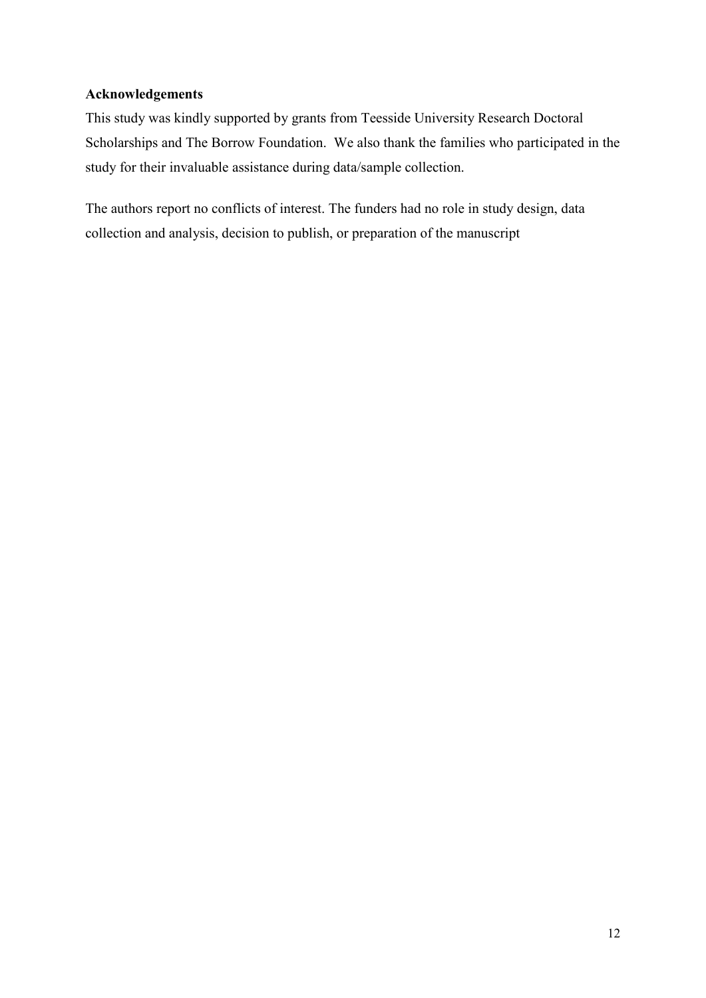# **Acknowledgements**

This study was kindly supported by grants from Teesside University Research Doctoral Scholarships and The Borrow Foundation. We also thank the families who participated in the study for their invaluable assistance during data/sample collection.

The authors report no conflicts of interest. The funders had no role in study design, data collection and analysis, decision to publish, or preparation of the manuscript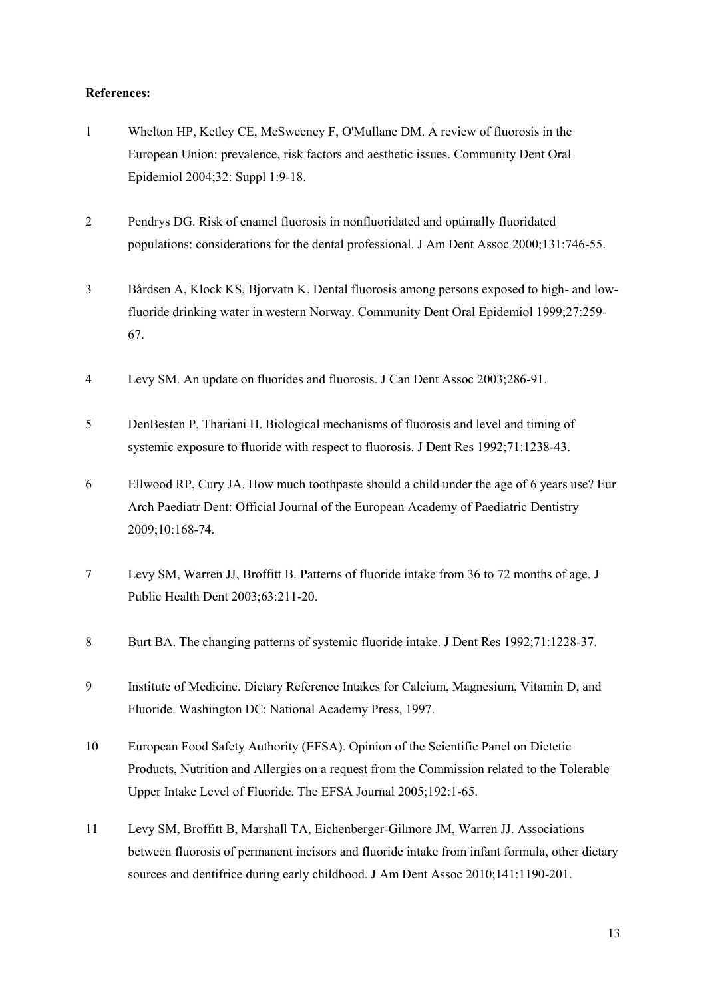#### **References:**

- 1 Whelton HP, Ketley CE, McSweeney F, O'Mullane DM. A review of fluorosis in the European Union: prevalence, risk factors and aesthetic issues. Community Dent Oral Epidemiol 2004;32: Suppl 1:9-18.
- 2 Pendrys DG. Risk of enamel fluorosis in nonfluoridated and optimally fluoridated populations: considerations for the dental professional. J Am Dent Assoc 2000;131:746-55.
- 3 Bårdsen A, Klock KS, Bjorvatn K. Dental fluorosis among persons exposed to high- and lowfluoride drinking water in western Norway. Community Dent Oral Epidemiol 1999;27:259- 67.
- 4 Levy SM. An update on fluorides and fluorosis. J Can Dent Assoc 2003;286-91.
- 5 DenBesten P, Thariani H. Biological mechanisms of fluorosis and level and timing of systemic exposure to fluoride with respect to fluorosis. J Dent Res 1992;71:1238-43.
- 6 Ellwood RP, Cury JA. How much toothpaste should a child under the age of 6 years use? Eur Arch Paediatr Dent: Official Journal of the European Academy of Paediatric Dentistry 2009;10:168-74.
- 7 Levy SM, Warren JJ, Broffitt B. Patterns of fluoride intake from 36 to 72 months of age. J Public Health Dent 2003;63:211-20.
- 8 Burt BA. The changing patterns of systemic fluoride intake. J Dent Res 1992;71:1228-37.
- 9 Institute of Medicine. Dietary Reference Intakes for Calcium, Magnesium, Vitamin D, and Fluoride. Washington DC: National Academy Press, 1997.
- 10 European Food Safety Authority (EFSA). Opinion of the Scientific Panel on Dietetic Products, Nutrition and Allergies on a request from the Commission related to the Tolerable Upper Intake Level of Fluoride. The EFSA Journal 2005;192:1-65.
- 11 Levy SM, Broffitt B, Marshall TA, Eichenberger-Gilmore JM, Warren JJ. Associations between fluorosis of permanent incisors and fluoride intake from infant formula, other dietary sources and dentifrice during early childhood. J Am Dent Assoc 2010;141:1190-201.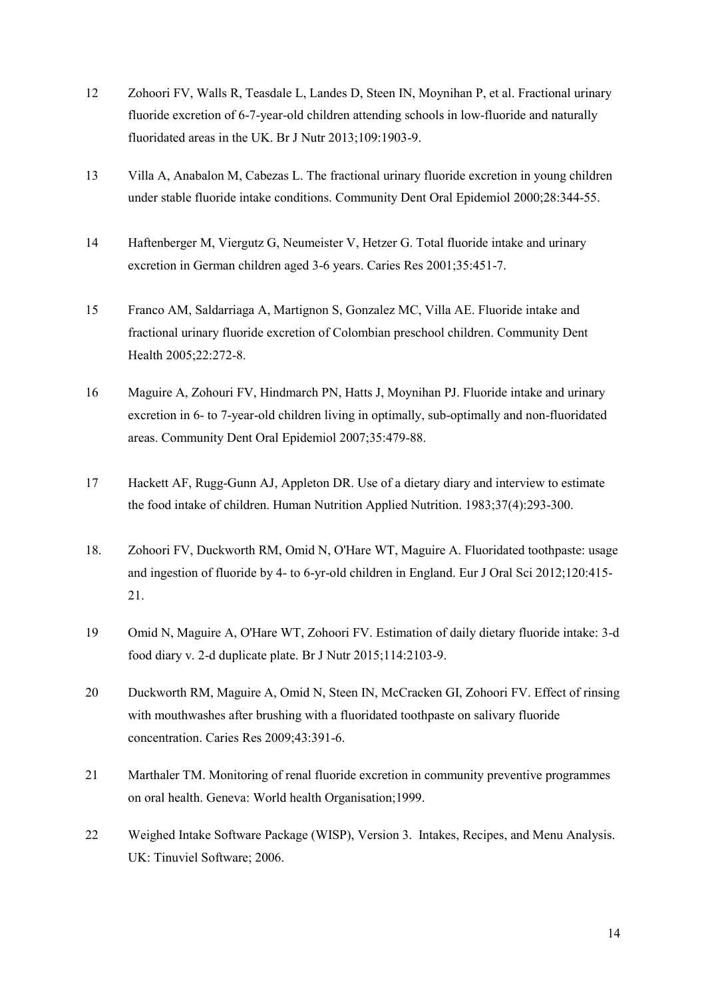- 12 Zohoori FV, Walls R, Teasdale L, Landes D, Steen IN, Moynihan P, et al. Fractional urinary fluoride excretion of 6-7-year-old children attending schools in low-fluoride and naturally fluoridated areas in the UK. Br J Nutr 2013;109:1903-9.
- 13 Villa A, Anabalon M, Cabezas L. The fractional urinary fluoride excretion in young children under stable fluoride intake conditions. Community Dent Oral Epidemiol 2000;28:344-55.
- 14 Haftenberger M, Viergutz G, Neumeister V, Hetzer G. Total fluoride intake and urinary excretion in German children aged 3-6 years. Caries Res 2001;35:451-7.
- 15 Franco AM, Saldarriaga A, Martignon S, Gonzalez MC, Villa AE. Fluoride intake and fractional urinary fluoride excretion of Colombian preschool children. Community Dent Health 2005;22:272-8.
- 16 Maguire A, Zohouri FV, Hindmarch PN, Hatts J, Moynihan PJ. Fluoride intake and urinary excretion in 6- to 7-year-old children living in optimally, sub-optimally and non-fluoridated areas. Community Dent Oral Epidemiol 2007;35:479-88.
- 17 Hackett AF, Rugg-Gunn AJ, Appleton DR. Use of a dietary diary and interview to estimate the food intake of children. Human Nutrition Applied Nutrition. 1983;37(4):293-300.
- 18. Zohoori FV, Duckworth RM, Omid N, O'Hare WT, Maguire A. Fluoridated toothpaste: usage and ingestion of fluoride by 4- to 6-yr-old children in England. Eur J Oral Sci 2012;120:415- 21.
- 19 Omid N, Maguire A, O'Hare WT, Zohoori FV. Estimation of daily dietary fluoride intake: 3-d food diary v. 2-d duplicate plate. Br J Nutr 2015;114:2103-9.
- 20 Duckworth RM, Maguire A, Omid N, Steen IN, McCracken GI, Zohoori FV. Effect of rinsing with mouthwashes after brushing with a fluoridated toothpaste on salivary fluoride concentration. Caries Res 2009;43:391-6.
- 21 Marthaler TM. Monitoring of renal fluoride excretion in community preventive programmes on oral health. Geneva: World health Organisation;1999.
- 22 Weighed Intake Software Package (WISP), Version 3. Intakes, Recipes, and Menu Analysis. UK: Tinuviel Software; 2006.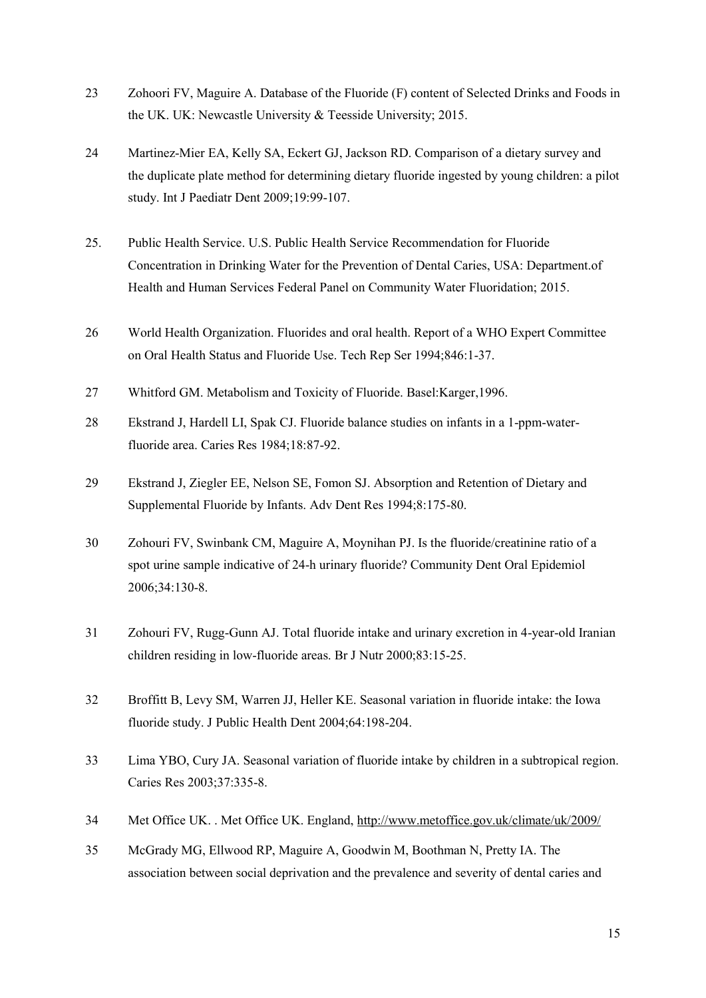- 23 Zohoori FV, Maguire A. Database of the Fluoride (F) content of Selected Drinks and Foods in the UK. UK: Newcastle University & Teesside University; 2015.
- 24 Martinez-Mier EA, Kelly SA, Eckert GJ, Jackson RD. Comparison of a dietary survey and the duplicate plate method for determining dietary fluoride ingested by young children: a pilot study. Int J Paediatr Dent 2009;19:99-107.
- 25. Public Health Service. U.S. Public Health Service Recommendation for Fluoride Concentration in Drinking Water for the Prevention of Dental Caries, USA: Department.of Health and Human Services Federal Panel on Community Water Fluoridation; 2015.
- 26 World Health Organization. Fluorides and oral health. Report of a WHO Expert Committee on Oral Health Status and Fluoride Use. Tech Rep Ser 1994;846:1-37.
- 27 Whitford GM. Metabolism and Toxicity of Fluoride. Basel:Karger,1996.
- 28 Ekstrand J, Hardell LI, Spak CJ. Fluoride balance studies on infants in a 1-ppm-waterfluoride area. Caries Res 1984;18:87-92.
- 29 Ekstrand J, Ziegler EE, Nelson SE, Fomon SJ. Absorption and Retention of Dietary and Supplemental Fluoride by Infants. Adv Dent Res 1994;8:175-80.
- 30 Zohouri FV, Swinbank CM, Maguire A, Moynihan PJ. Is the fluoride/creatinine ratio of a spot urine sample indicative of 24-h urinary fluoride? Community Dent Oral Epidemiol 2006;34:130-8.
- 31 Zohouri FV, Rugg-Gunn AJ. Total fluoride intake and urinary excretion in 4-year-old Iranian children residing in low-fluoride areas. Br J Nutr 2000;83:15-25.
- 32 Broffitt B, Levy SM, Warren JJ, Heller KE. Seasonal variation in fluoride intake: the Iowa fluoride study. J Public Health Dent 2004;64:198-204.
- 33 Lima YBO, Cury JA. Seasonal variation of fluoride intake by children in a subtropical region. Caries Res 2003;37:335-8.
- 34 Met Office UK. . Met Office UK. England,<http://www.metoffice.gov.uk/climate/uk/2009/>
- 35 McGrady MG, Ellwood RP, Maguire A, Goodwin M, Boothman N, Pretty IA. The association between social deprivation and the prevalence and severity of dental caries and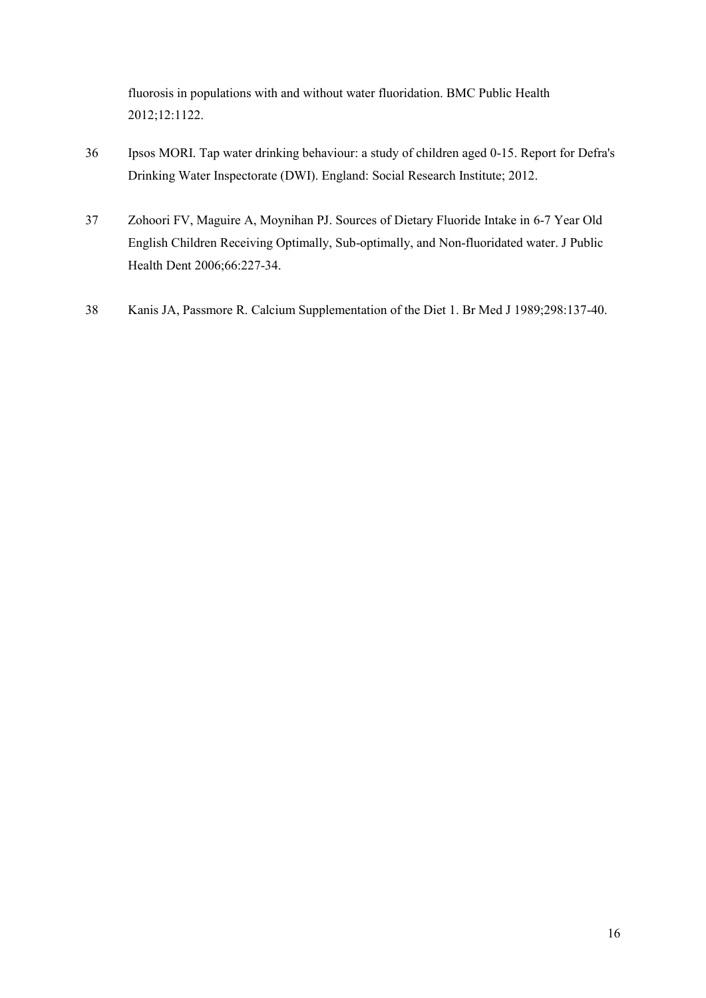fluorosis in populations with and without water fluoridation. BMC Public Health 2012;12:1122.

- 36 Ipsos MORI. Tap water drinking behaviour: a study of children aged 0-15. Report for Defra's Drinking Water Inspectorate (DWI). England: Social Research Institute; 2012.
- 37 Zohoori FV, Maguire A, Moynihan PJ. Sources of Dietary Fluoride Intake in 6-7 Year Old English Children Receiving Optimally, Sub-optimally, and Non-fluoridated water. J Public Health Dent 2006;66:227-34.
- 38 Kanis JA, Passmore R. Calcium Supplementation of the Diet 1. Br Med J 1989;298:137-40.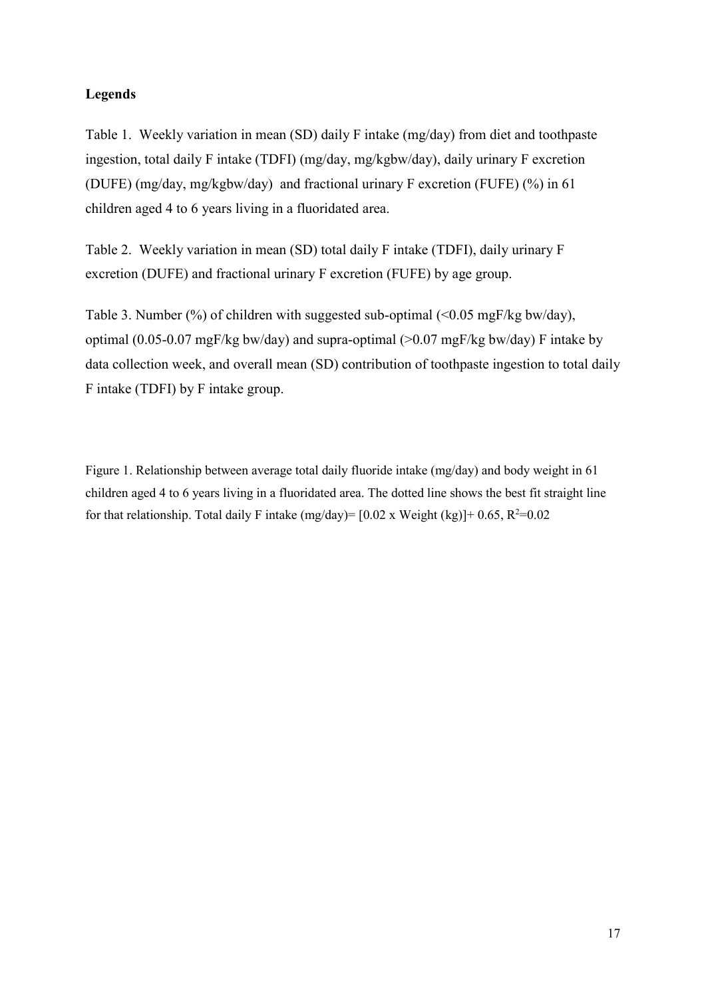# **Legends**

Table 1. Weekly variation in mean (SD) daily F intake (mg/day) from diet and toothpaste ingestion, total daily F intake (TDFI) (mg/day, mg/kgbw/day), daily urinary F excretion (DUFE) (mg/day, mg/kgbw/day) and fractional urinary F excretion (FUFE) (%) in 61 children aged 4 to 6 years living in a fluoridated area.

Table 2. Weekly variation in mean (SD) total daily F intake (TDFI), daily urinary F excretion (DUFE) and fractional urinary F excretion (FUFE) by age group.

Table 3. Number (%) of children with suggested sub-optimal  $\left($  < 0.05 mgF/kg bw/day), optimal (0.05-0.07 mgF/kg bw/day) and supra-optimal (>0.07 mgF/kg bw/day) F intake by data collection week, and overall mean (SD) contribution of toothpaste ingestion to total daily F intake (TDFI) by F intake group.

Figure 1. Relationship between average total daily fluoride intake (mg/day) and body weight in 61 children aged 4 to 6 years living in a fluoridated area. The dotted line shows the best fit straight line for that relationship. Total daily F intake (mg/day)=  $[0.02 \times$  Weight (kg) $]+ 0.65$ ,  $R^2=0.02$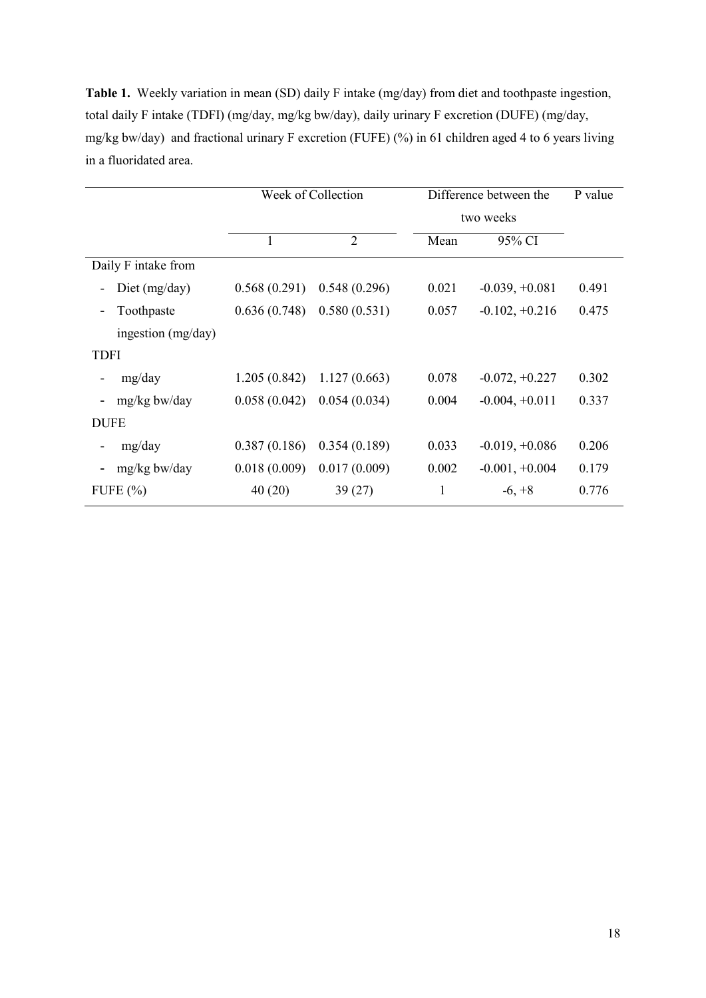**Table 1.** Weekly variation in mean (SD) daily F intake (mg/day) from diet and toothpaste ingestion, total daily F intake (TDFI) (mg/day, mg/kg bw/day), daily urinary F excretion (DUFE) (mg/day, mg/kg bw/day) and fractional urinary F excretion (FUFE) (%) in 61 children aged 4 to 6 years living in a fluoridated area.

|                     | Week of Collection |                |           | Difference between the |       |
|---------------------|--------------------|----------------|-----------|------------------------|-------|
|                     |                    |                | two weeks |                        |       |
|                     | 1                  | $\overline{2}$ | Mean      | 95% CI                 |       |
| Daily F intake from |                    |                |           |                        |       |
| Diet $(mg/day)$     | 0.568(0.291)       | 0.548(0.296)   | 0.021     | $-0.039, +0.081$       | 0.491 |
| Toothpaste          | 0.636(0.748)       | 0.580(0.531)   | 0.057     | $-0.102, +0.216$       | 0.475 |
| ingestion (mg/day)  |                    |                |           |                        |       |
| <b>TDFI</b>         |                    |                |           |                        |       |
| mg/day              | 1.205(0.842)       | 1.127(0.663)   | 0.078     | $-0.072, +0.227$       | 0.302 |
| mg/kg bw/day        | 0.058(0.042)       | 0.054(0.034)   | 0.004     | $-0.004, +0.011$       | 0.337 |
| <b>DUFE</b>         |                    |                |           |                        |       |
| mg/day              | 0.387(0.186)       | 0.354(0.189)   | 0.033     | $-0.019, +0.086$       | 0.206 |
| $mg/kg$ bw/day      | 0.018(0.009)       | 0.017(0.009)   | 0.002     | $-0.001, +0.004$       | 0.179 |
| FUFE $(\% )$        | 40(20)             | 39(27)         | 1         | $-6, +8$               | 0.776 |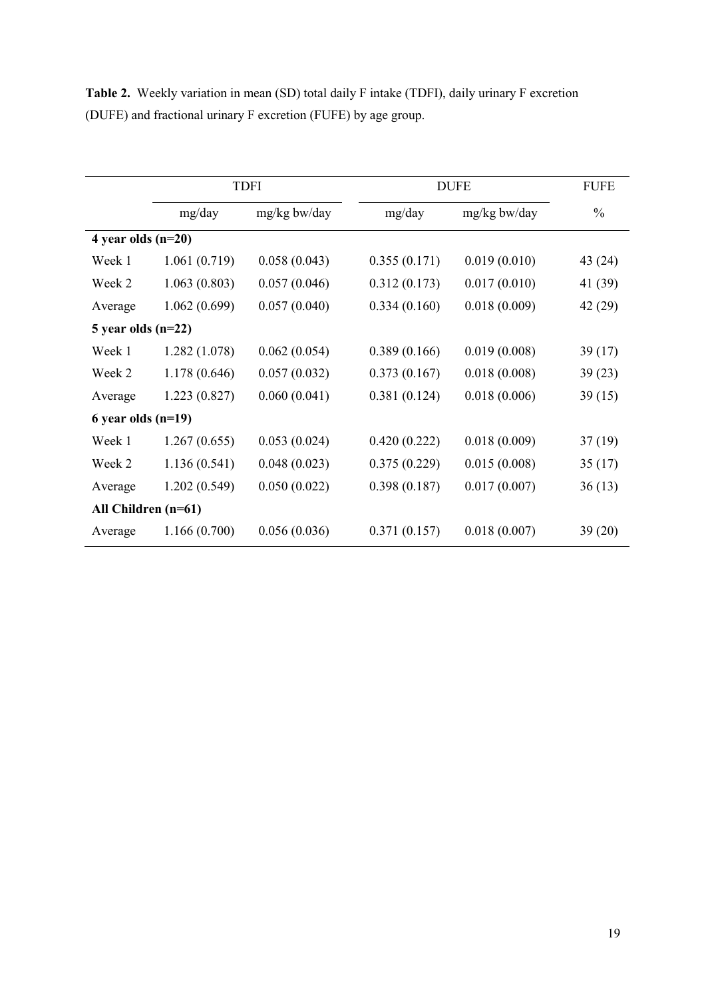|                        | <b>TDFI</b>  |              | <b>DUFE</b>  |              | <b>FUFE</b>   |  |  |
|------------------------|--------------|--------------|--------------|--------------|---------------|--|--|
|                        | mg/day       | mg/kg bw/day | mg/day       | mg/kg bw/day | $\frac{0}{0}$ |  |  |
| 4 year olds $(n=20)$   |              |              |              |              |               |  |  |
| Week 1                 | 1.061(0.719) | 0.058(0.043) | 0.355(0.171) | 0.019(0.010) | 43 (24)       |  |  |
| Week 2                 | 1.063(0.803) | 0.057(0.046) | 0.312(0.173) | 0.017(0.010) | 41 (39)       |  |  |
| Average                | 1.062(0.699) | 0.057(0.040) | 0.334(0.160) | 0.018(0.009) | 42 (29)       |  |  |
| 5 year olds $(n=22)$   |              |              |              |              |               |  |  |
| Week 1                 | 1.282(1.078) | 0.062(0.054) | 0.389(0.166) | 0.019(0.008) | 39(17)        |  |  |
| Week 2                 | 1.178(0.646) | 0.057(0.032) | 0.373(0.167) | 0.018(0.008) | 39(23)        |  |  |
| Average                | 1.223(0.827) | 0.060(0.041) | 0.381(0.124) | 0.018(0.006) | 39(15)        |  |  |
| $6$ year olds $(n=19)$ |              |              |              |              |               |  |  |
| Week 1                 | 1.267(0.655) | 0.053(0.024) | 0.420(0.222) | 0.018(0.009) | 37(19)        |  |  |
| Week 2                 | 1.136(0.541) | 0.048(0.023) | 0.375(0.229) | 0.015(0.008) | 35(17)        |  |  |
| Average                | 1.202(0.549) | 0.050(0.022) | 0.398(0.187) | 0.017(0.007) | 36(13)        |  |  |
| All Children (n=61)    |              |              |              |              |               |  |  |
| Average                | 1.166(0.700) | 0.056(0.036) | 0.371(0.157) | 0.018(0.007) | 39(20)        |  |  |

**Table 2.** Weekly variation in mean (SD) total daily F intake (TDFI), daily urinary F excretion (DUFE) and fractional urinary F excretion (FUFE) by age group.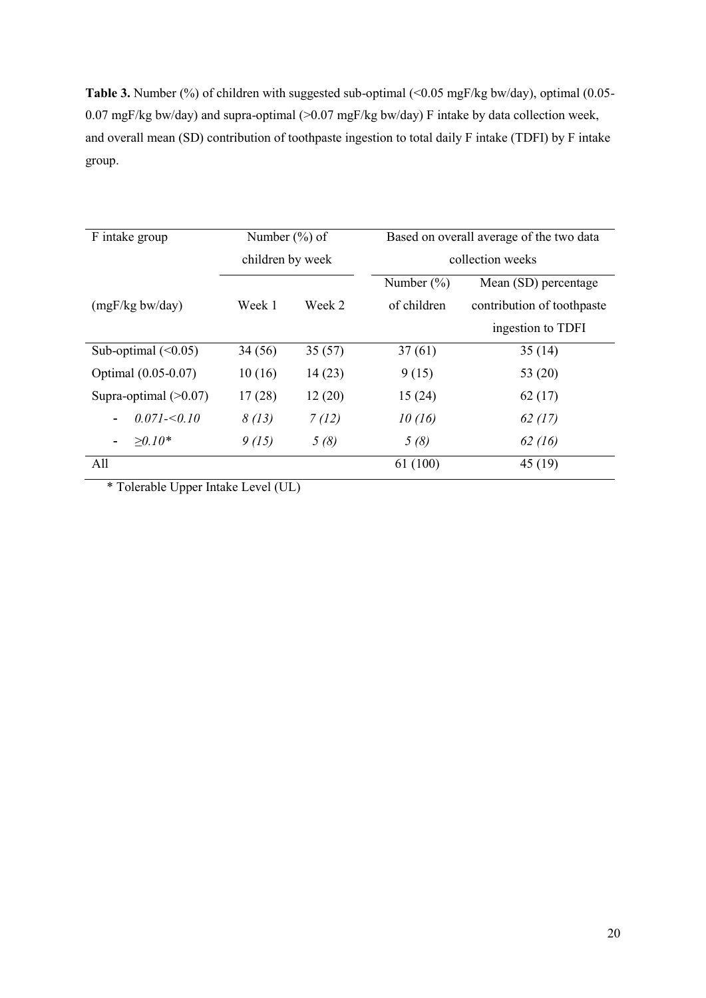Table 3. Number (%) of children with suggested sub-optimal (<0.05 mgF/kg bw/day), optimal (0.05-0.07 mgF/kg bw/day) and supra-optimal (>0.07 mgF/kg bw/day) F intake by data collection week, and overall mean (SD) contribution of toothpaste ingestion to total daily F intake (TDFI) by F intake group.

| F intake group            | Number $(\% )$ of |        |               | Based on overall average of the two data |  |  |
|---------------------------|-------------------|--------|---------------|------------------------------------------|--|--|
|                           | children by week  |        |               | collection weeks                         |  |  |
|                           |                   |        | Number $(\%)$ | Mean (SD) percentage                     |  |  |
| $(mgF/kg$ bw/day)         | Week 1            | Week 2 | of children   | contribution of toothpaste               |  |  |
|                           |                   |        |               | ingestion to TDFI                        |  |  |
| Sub-optimal $(\leq 0.05)$ | 34(56)            | 35(57) | 37(61)        | 35(14)                                   |  |  |
| Optimal (0.05-0.07)       | 10(16)            | 14(23) | 9(15)         | 53 (20)                                  |  |  |
| Supra-optimal $(>0.07)$   | 17(28)            | 12(20) | 15(24)        | 62(17)                                   |  |  |
| $0.071 - 0.10$            | 8(13)             | 7(12)  | 10(16)        | 62(17)                                   |  |  |
| $\geq 0.10*$              | 9(15)             | 5(8)   | 5(8)          | 62(16)                                   |  |  |
| All                       |                   |        | 61 (100)      | 45(19)                                   |  |  |

\* Tolerable Upper Intake Level (UL)